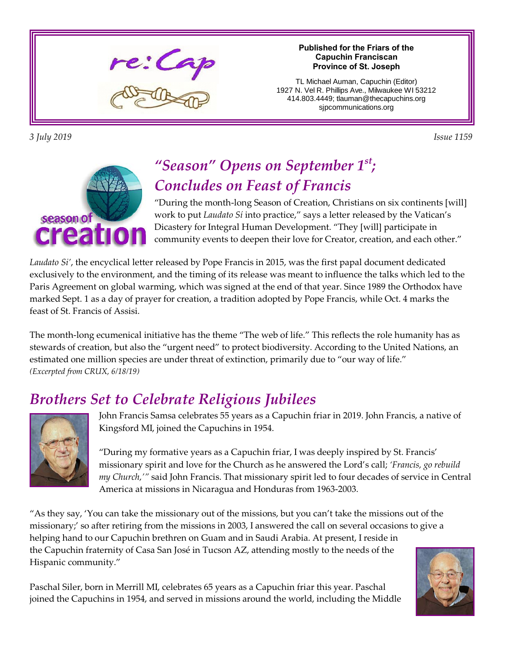

*3 July 2019 Issue 1159* 

#### **Published for the Friars of the Capuchin Franciscan Province of St. Joseph**

TL Michael Auman, Capuchin (Editor) 1927 N. Vel R. Phillips Ave., Milwaukee WI 53212 414.803.4449; tlauman@thecapuchins.org sjpcommunications.org



## *"Season" Opens on September 1 st; Concludes on Feast of Francis*

"During the month-long Season of Creation, Christians on six continents [will] work to put *Laudato Sí* into practice," says a letter released by the Vatican's Dicastery for Integral Human Development. "They [will] participate in community events to deepen their love for Creator, creation, and each other."

*Laudato Si'*, the encyclical letter released by Pope Francis in 2015, was the first papal document dedicated exclusively to the environment, and the timing of its release was meant to influence the talks which led to the Paris Agreement on global warming, which was signed at the end of that year. Since 1989 the Orthodox have marked Sept. 1 as a day of prayer for creation, a tradition adopted by Pope Francis, while Oct. 4 marks the feast of St. Francis of Assisi.

The month-long ecumenical initiative has the theme "The web of life." This reflects the role humanity has as stewards of creation, but also the "urgent need" to protect biodiversity. According to the United Nations, an estimated one million species are under threat of extinction, primarily due to "our way of life." *(Excerpted from CRUX, 6/18/19)*

# *Brothers Set to Celebrate Religious Jubilees*



John Francis Samsa celebrates 55 years as a Capuchin friar in 2019. John Francis, a native of Kingsford MI, joined the Capuchins in 1954.

"During my formative years as a Capuchin friar, I was deeply inspired by St. Francis' missionary spirit and love for the Church as he answered the Lord's call; *'Francis, go rebuild my Church,'"* said John Francis. That missionary spirit led to four decades of service in Central America at missions in Nicaragua and Honduras from 1963-2003.

"As they say, 'You can take the missionary out of the missions, but you can't take the missions out of the missionary;' so after retiring from the missions in 2003, I answered the call on several occasions to give a helping hand to our Capuchin brethren on Guam and in Saudi Arabia. At present, I reside in the Capuchin fraternity of Casa San José in Tucson AZ, attending mostly to the needs of the Hispanic community."

Paschal Siler, born in Merrill MI, celebrates 65 years as a Capuchin friar this year. Paschal joined the Capuchins in 1954, and served in missions around the world, including the Middle

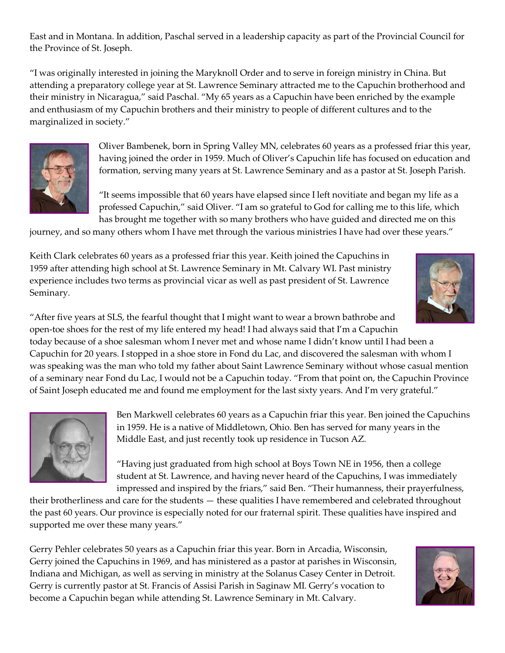East and in Montana. In addition, Paschal served in a leadership capacity as part of the Provincial Council for the Province of St. Joseph.

"I was originally interested in joining the Maryknoll Order and to serve in foreign ministry in China. But attending a preparatory college year at St. Lawrence Seminary attracted me to the Capuchin brotherhood and their ministry in Nicaragua," said Paschal. "My 65 years as a Capuchin have been enriched by the example and enthusiasm of my Capuchin brothers and their ministry to people of different cultures and to the marginalized in society."



Oliver Bambenek, born in Spring Valley MN, celebrates 60 years as a professed friar this year, having joined the order in 1959. Much of Oliver's Capuchin life has focused on education and formation, serving many years at St. Lawrence Seminary and as a pastor at St. Joseph Parish.

"It seems impossible that 60 years have elapsed since I left novitiate and began my life as a professed Capuchin," said Oliver. "I am so grateful to God for calling me to this life, which has brought me together with so many brothers who have guided and directed me on this

journey, and so many others whom I have met through the various ministries I have had over these years."

Keith Clark celebrates 60 years as a professed friar this year. Keith joined the Capuchins in 1959 after attending high school at St. Lawrence Seminary in Mt. Calvary WI. Past ministry experience includes two terms as provincial vicar as well as past president of St. Lawrence Seminary.



"After five years at SLS, the fearful thought that I might want to wear a brown bathrobe and open-toe shoes for the rest of my life entered my head! I had always said that I'm a Capuchin today because of a shoe salesman whom I never met and whose name I didn't know until I had been a Capuchin for 20 years. I stopped in a shoe store in Fond du Lac, and discovered the salesman with whom I was speaking was the man who told my father about Saint Lawrence Seminary without whose casual mention of a seminary near Fond du Lac, I would not be a Capuchin today. "From that point on, the Capuchin Province of Saint Joseph educated me and found me employment for the last sixty years. And I'm very grateful."



Ben Markwell celebrates 60 years as a Capuchin friar this year. Ben joined the Capuchins in 1959. He is a native of Middletown, Ohio. Ben has served for many years in the Middle East, and just recently took up residence in Tucson AZ.

"Having just graduated from high school at Boys Town NE in 1956, then a college student at St. Lawrence, and having never heard of the Capuchins, I was immediately impressed and inspired by the friars," said Ben. "Their humanness, their prayerfulness,

their brotherliness and care for the students — these qualities I have remembered and celebrated throughout the past 60 years. Our province is especially noted for our fraternal spirit. These qualities have inspired and supported me over these many years."

Gerry Pehler celebrates 50 years as a Capuchin friar this year. Born in Arcadia, Wisconsin, Gerry joined the Capuchins in 1969, and has ministered as a pastor at parishes in Wisconsin, Indiana and Michigan, as well as serving in ministry at the Solanus Casey Center in Detroit. Gerry is currently pastor at St. Francis of Assisi Parish in Saginaw MI. Gerry's vocation to become a Capuchin began while attending St. Lawrence Seminary in Mt. Calvary.

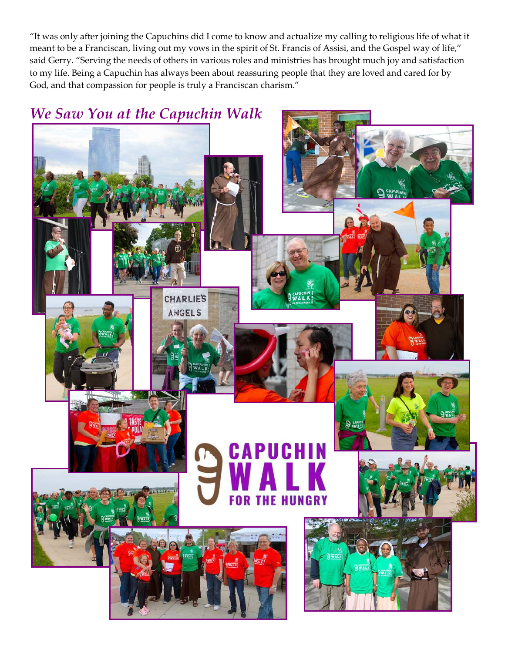"It was only after joining the Capuchins did I come to know and actualize my calling to religious life of what it meant to be a Franciscan, living out my vows in the spirit of St. Francis of Assisi, and the Gospel way of life," said Gerry. "Serving the needs of others in various roles and ministries has brought much joy and satisfaction to my life. Being a Capuchin has always been about reassuring people that they are loved and cared for by God, and that compassion for people is truly a Franciscan charism."

### *We Saw You at the Capuchin Walk*